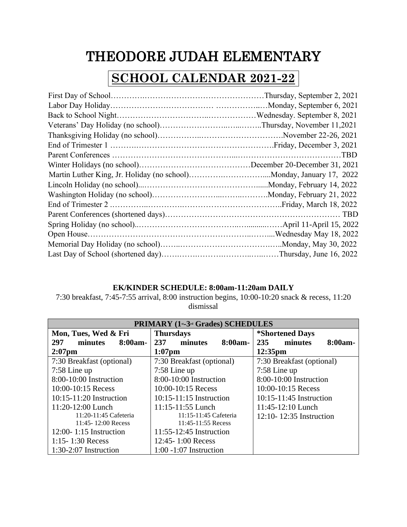## THEODORE JUDAH ELEMENTARY

## **SCHOOL CALENDAR 2021-22**

## **EK/KINDER SCHEDULE: 8:00am-11:20am DAILY**

7:30 breakfast, 7:45-7:55 arrival, 8:00 instruction begins, 10:00-10:20 snack & recess, 11:20 dismissal

| PRIMARY (1st-3rd Grades) SCHEDULES |                           |                               |  |  |
|------------------------------------|---------------------------|-------------------------------|--|--|
| Mon, Tues, Wed & Fri               | <b>Thursdays</b>          | <i><b>*Shortened Days</b></i> |  |  |
| 297<br>8:00am-<br>minutes          | 237<br>8:00am-<br>minutes | 235<br>minutes<br>8:00am-     |  |  |
| $2:07$ pm                          | $1:07$ pm                 | $12:35$ pm                    |  |  |
| 7:30 Breakfast (optional)          | 7:30 Breakfast (optional) | 7:30 Breakfast (optional)     |  |  |
| $7:58$ Line up                     | $7:58$ Line up            | $7:58$ Line up                |  |  |
| $8:00-10:00$ Instruction           | $8:00-10:00$ Instruction  | $8:00-10:00$ Instruction      |  |  |
| $10:00 - 10:15$ Recess             | $10:00 - 10:15$ Recess    | 10:00-10:15 Recess            |  |  |
| $10:15-11:20$ Instruction          | $10:15-11:15$ Instruction | $10:15-11:45$ Instruction     |  |  |
| 11:20-12:00 Lunch                  | 11:15-11:55 Lunch         | 11:45-12:10 Lunch             |  |  |
| 11:20-11:45 Cafeteria              | 11:15-11:45 Cafeteria     | $12:10 - 12:35$ Instruction   |  |  |
| 11:45-12:00 Recess                 | $11:45-11:55$ Recess      |                               |  |  |
| $12:00 - 1:15$ Instruction         | 11:55-12:45 Instruction   |                               |  |  |
| 1:15 - 1:30 Recess                 | 12:45-1:00 Recess         |                               |  |  |
| $1:30-2:07$ Instruction            | $1:00 - 1:07$ Instruction |                               |  |  |